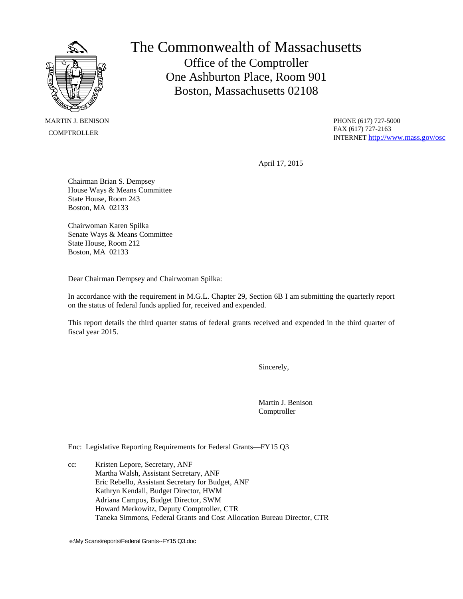

 MARTIN J. BENISON **COMPTROLLER** 

The Commonwealth of Massachusetts Office of the Comptroller One Ashburton Place, Room 901 Boston, Massachusetts 02108

> PHONE (617) 727-5000 FAX (617) 727-2163 INTERNET <http://www.mass.gov/osc>

April 17, 2015

Chairman Brian S. Dempsey House Ways & Means Committee State House, Room 243 Boston, MA 02133

Chairwoman Karen Spilka Senate Ways & Means Committee State House, Room 212 Boston, MA 02133

Dear Chairman Dempsey and Chairwoman Spilka:

In accordance with the requirement in M.G.L. Chapter 29, Section 6B I am submitting the quarterly report on the status of federal funds applied for, received and expended.

This report details the third quarter status of federal grants received and expended in the third quarter of fiscal year 2015.

Sincerely,

Martin J. Benison Comptroller

Enc: Legislative Reporting Requirements for Federal Grants—FY15 Q3

cc: Kristen Lepore, Secretary, ANF Martha Walsh, Assistant Secretary, ANF Eric Rebello, Assistant Secretary for Budget, ANF Kathryn Kendall, Budget Director, HWM Adriana Campos, Budget Director, SWM Howard Merkowitz, Deputy Comptroller, CTR Taneka Simmons, Federal Grants and Cost Allocation Bureau Director, CTR

e:\My Scans\reports\Federal Grants--FY15 Q3.doc